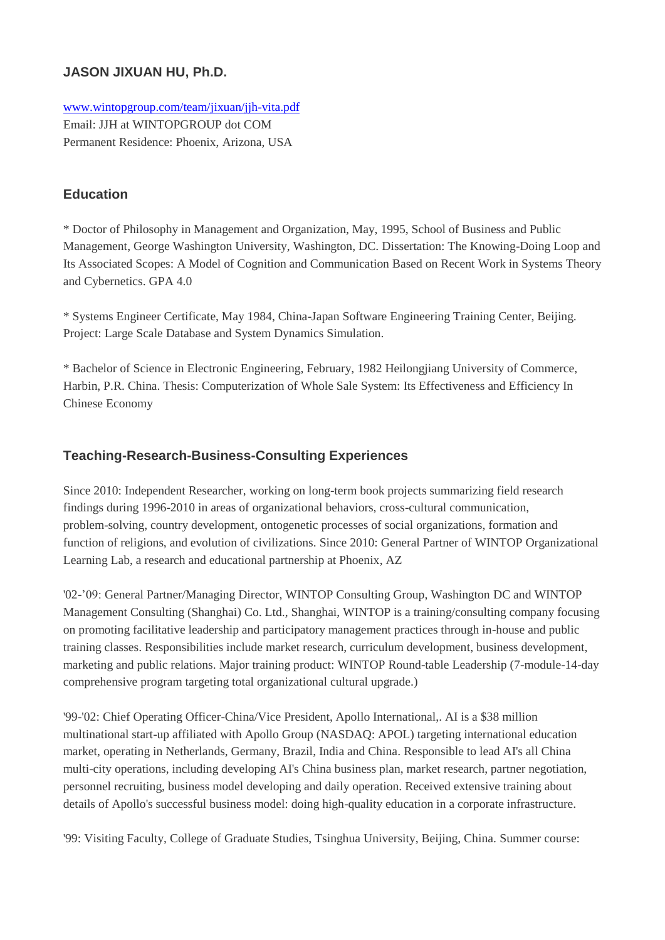# **JASON JIXUAN HU, Ph.D.**

[www.wintopgroup.com/team/jixuan/jjh-vita.pdf](http://www.wintopgroup.com/team/jixuan/jjh-vita.pdf) Email: JJH at WINTOPGROUP dot COM Permanent Residence: Phoenix, Arizona, USA

### **Education**

\* Doctor of Philosophy in Management and Organization, May, 1995, School of Business and Public Management, George Washington University, Washington, DC. Dissertation: The Knowing-Doing Loop and Its Associated Scopes: A Model of Cognition and Communication Based on Recent Work in Systems Theory and Cybernetics. GPA 4.0

\* Systems Engineer Certificate, May 1984, China-Japan Software Engineering Training Center, Beijing. Project: Large Scale Database and System Dynamics Simulation.

\* Bachelor of Science in Electronic Engineering, February, 1982 Heilongjiang University of Commerce, Harbin, P.R. China. Thesis: Computerization of Whole Sale System: Its Effectiveness and Efficiency In Chinese Economy

#### **Teaching-Research-Business-Consulting Experiences**

Since 2010: Independent Researcher, working on long-term book projects summarizing field research findings during 1996-2010 in areas of organizational behaviors, cross-cultural communication, problem-solving, country development, ontogenetic processes of social organizations, formation and function of religions, and evolution of civilizations. Since 2010: General Partner of WINTOP Organizational Learning Lab, a research and educational partnership at Phoenix, AZ

'02-'09: General Partner/Managing Director, WINTOP Consulting Group, Washington DC and WINTOP Management Consulting (Shanghai) Co. Ltd., Shanghai, WINTOP is a training/consulting company focusing on promoting facilitative leadership and participatory management practices through in-house and public training classes. Responsibilities include market research, curriculum development, business development, marketing and public relations. Major training product: WINTOP Round-table Leadership (7-module-14-day comprehensive program targeting total organizational cultural upgrade.)

'99-'02: Chief Operating Officer-China/Vice President, Apollo International,. AI is a \$38 million multinational start-up affiliated with Apollo Group (NASDAQ: APOL) targeting international education market, operating in Netherlands, Germany, Brazil, India and China. Responsible to lead AI's all China multi-city operations, including developing AI's China business plan, market research, partner negotiation, personnel recruiting, business model developing and daily operation. Received extensive training about details of Apollo's successful business model: doing high-quality education in a corporate infrastructure.

'99: Visiting Faculty, College of Graduate Studies, Tsinghua University, Beijing, China. Summer course: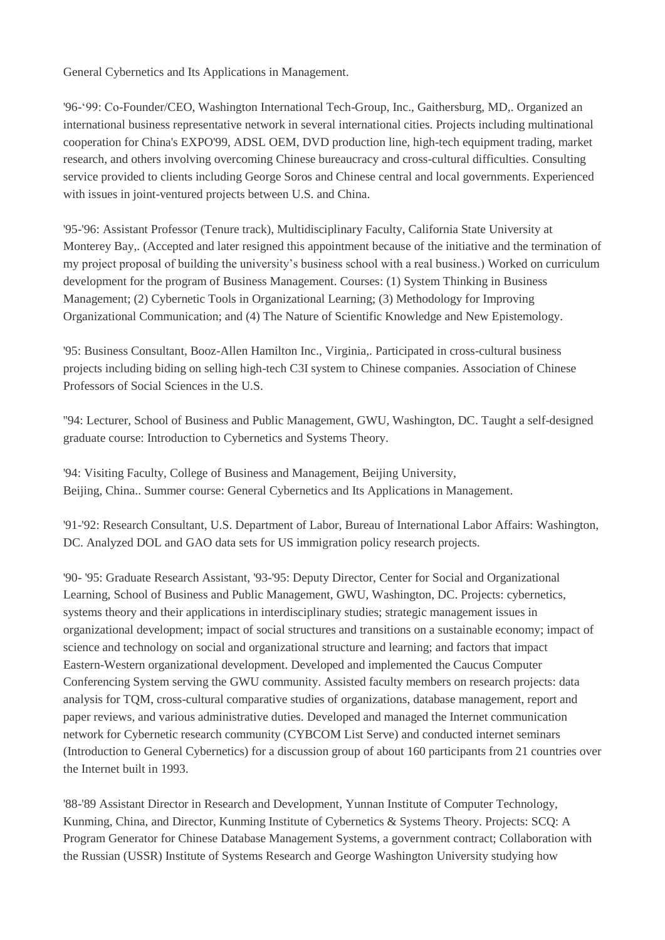General Cybernetics and Its Applications in Management.

'96-'99: Co-Founder/CEO, Washington International Tech-Group, Inc., Gaithersburg, MD,. Organized an international business representative network in several international cities. Projects including multinational cooperation for China's EXPO'99, ADSL OEM, DVD production line, high-tech equipment trading, market research, and others involving overcoming Chinese bureaucracy and cross-cultural difficulties. Consulting service provided to clients including George Soros and Chinese central and local governments. Experienced with issues in joint-ventured projects between U.S. and China.

'95-'96: Assistant Professor (Tenure track), Multidisciplinary Faculty, California State University at Monterey Bay,. (Accepted and later resigned this appointment because of the initiative and the termination of my project proposal of building the university's business school with a real business.) Worked on curriculum development for the program of Business Management. Courses: (1) System Thinking in Business Management; (2) Cybernetic Tools in Organizational Learning; (3) Methodology for Improving Organizational Communication; and (4) The Nature of Scientific Knowledge and New Epistemology.

'95: Business Consultant, Booz-Allen Hamilton Inc., Virginia,. Participated in cross-cultural business projects including biding on selling high-tech C3I system to Chinese companies. Association of Chinese Professors of Social Sciences in the U.S.

''94: Lecturer, School of Business and Public Management, GWU, Washington, DC. Taught a self-designed graduate course: Introduction to Cybernetics and Systems Theory.

'94: Visiting Faculty, College of Business and Management, Beijing University, Beijing, China.. Summer course: General Cybernetics and Its Applications in Management.

'91-'92: Research Consultant, U.S. Department of Labor, Bureau of International Labor Affairs: Washington, DC. Analyzed DOL and GAO data sets for US immigration policy research projects.

'90- '95: Graduate Research Assistant, '93-'95: Deputy Director, Center for Social and Organizational Learning, School of Business and Public Management, GWU, Washington, DC. Projects: cybernetics, systems theory and their applications in interdisciplinary studies; strategic management issues in organizational development; impact of social structures and transitions on a sustainable economy; impact of science and technology on social and organizational structure and learning; and factors that impact Eastern-Western organizational development. Developed and implemented the Caucus Computer Conferencing System serving the GWU community. Assisted faculty members on research projects: data analysis for TQM, cross-cultural comparative studies of organizations, database management, report and paper reviews, and various administrative duties. Developed and managed the Internet communication network for Cybernetic research community (CYBCOM List Serve) and conducted internet seminars (Introduction to General Cybernetics) for a discussion group of about 160 participants from 21 countries over the Internet built in 1993.

'88-'89 Assistant Director in Research and Development, Yunnan Institute of Computer Technology, Kunming, China, and Director, Kunming Institute of Cybernetics & Systems Theory. Projects: SCQ: A Program Generator for Chinese Database Management Systems, a government contract; Collaboration with the Russian (USSR) Institute of Systems Research and George Washington University studying how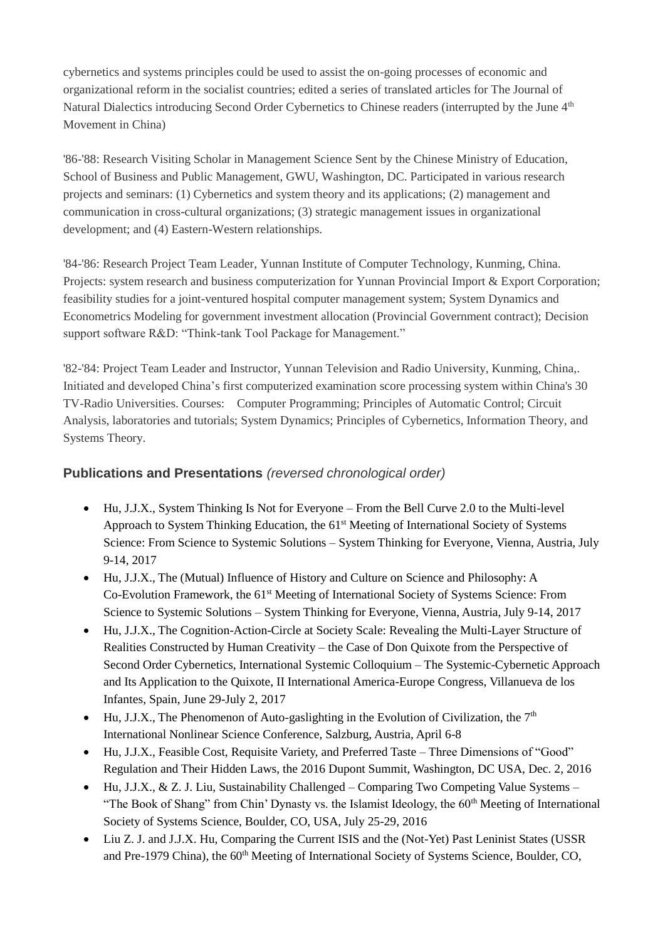cybernetics and systems principles could be used to assist the on-going processes of economic and organizational reform in the socialist countries; edited a series of translated articles for The Journal of Natural Dialectics introducing Second Order Cybernetics to Chinese readers (interrupted by the June 4<sup>th</sup> Movement in China)

'86-'88: Research Visiting Scholar in Management Science Sent by the Chinese Ministry of Education, School of Business and Public Management, GWU, Washington, DC. Participated in various research projects and seminars: (1) Cybernetics and system theory and its applications; (2) management and communication in cross-cultural organizations; (3) strategic management issues in organizational development; and (4) Eastern-Western relationships.

'84-'86: Research Project Team Leader, Yunnan Institute of Computer Technology, Kunming, China. Projects: system research and business computerization for Yunnan Provincial Import & Export Corporation; feasibility studies for a joint-ventured hospital computer management system; System Dynamics and Econometrics Modeling for government investment allocation (Provincial Government contract); Decision support software R&D: "Think-tank Tool Package for Management."

'82-'84: Project Team Leader and Instructor, Yunnan Television and Radio University, Kunming, China,. Initiated and developed China's first computerized examination score processing system within China's 30 TV-Radio Universities. Courses: Computer Programming; Principles of Automatic Control; Circuit Analysis, laboratories and tutorials; System Dynamics; Principles of Cybernetics, Information Theory, and Systems Theory.

# **Publications and Presentations** *(reversed chronological order)*

- Hu, J.J.X., System Thinking Is Not for Everyone From the Bell Curve 2.0 to the Multi-level Approach to System Thinking Education, the 61<sup>st</sup> Meeting of International Society of Systems Science: From Science to Systemic Solutions – System Thinking for Everyone, Vienna, Austria, July 9-14, 2017
- Hu, J.J.X., The (Mutual) Influence of History and Culture on Science and Philosophy: A Co-Evolution Framework, the 61<sup>st</sup> Meeting of International Society of Systems Science: From Science to Systemic Solutions – System Thinking for Everyone, Vienna, Austria, July 9-14, 2017
- Hu, J.J.X., The Cognition-Action-Circle at Society Scale: Revealing the Multi-Layer Structure of Realities Constructed by Human Creativity – the Case of Don Quixote from the Perspective of Second Order Cybernetics, International Systemic Colloquium – The Systemic-Cybernetic Approach and Its Application to the Quixote, II International America-Europe Congress, Villanueva de los Infantes, Spain, June 29-July 2, 2017
- Hu, J.J.X., The Phenomenon of Auto-gaslighting in the Evolution of Civilization, the  $7<sup>th</sup>$ International Nonlinear Science Conference, Salzburg, Austria, April 6-8
- Hu, J.J.X., Feasible Cost, Requisite Variety, and Preferred Taste Three Dimensions of "Good" Regulation and Their Hidden Laws, the 2016 Dupont Summit, Washington, DC USA, Dec. 2, 2016
- Hu, J.J.X., & Z. J. Liu, Sustainability Challenged Comparing Two Competing Value Systems "The Book of Shang" from Chin' Dynasty vs. the Islamist Ideology, the  $60<sup>th</sup>$  Meeting of International Society of Systems Science, Boulder, CO, USA, July 25-29, 2016
- Liu Z. J. and J.J.X. Hu, Comparing the Current ISIS and the (Not-Yet) Past Leninist States (USSR and Pre-1979 China), the 60<sup>th</sup> Meeting of International Society of Systems Science, Boulder, CO,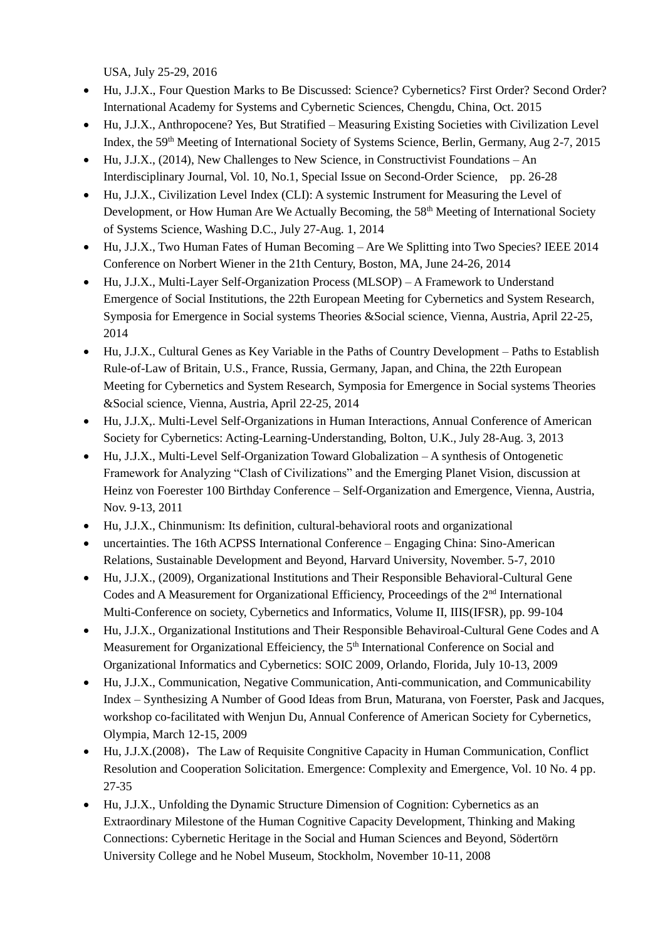USA, July 25-29, 2016

- Hu, J.J.X., Four Question Marks to Be Discussed: Science? Cybernetics? First Order? Second Order? International Academy for Systems and Cybernetic Sciences, Chengdu, China, Oct. 2015
- Hu, J.J.X., Anthropocene? Yes, But Stratified Measuring Existing Societies with Civilization Level Index, the 59<sup>th</sup> Meeting of International Society of Systems Science, Berlin, Germany, Aug 2-7, 2015
- Hu, J.J.X., (2014), New Challenges to New Science, in Constructivist Foundations An Interdisciplinary Journal, Vol. 10, No.1, Special Issue on Second-Order Science, pp. 26-28
- Hu, J.J.X., Civilization Level Index (CLI): A systemic Instrument for Measuring the Level of Development, or How Human Are We Actually Becoming, the 58<sup>th</sup> Meeting of International Society of Systems Science, Washing D.C., July 27-Aug. 1, 2014
- Hu, J.J.X., Two Human Fates of Human Becoming Are We Splitting into Two Species? IEEE 2014 Conference on Norbert Wiener in the 21th Century, Boston, MA, June 24-26, 2014
- Hu, J.J.X., Multi-Layer Self-Organization Process (MLSOP) A Framework to Understand Emergence of Social Institutions, the 22th European Meeting for Cybernetics and System Research, Symposia for Emergence in Social systems Theories &Social science, Vienna, Austria, April 22-25, 2014
- Hu, J.J.X., Cultural Genes as Key Variable in the Paths of Country Development Paths to Establish Rule-of-Law of Britain, U.S., France, Russia, Germany, Japan, and China, the 22th European Meeting for Cybernetics and System Research, Symposia for Emergence in Social systems Theories &Social science, Vienna, Austria, April 22-25, 2014
- Hu, J.J.X,. Multi-Level Self-Organizations in Human Interactions, Annual Conference of American Society for Cybernetics: Acting-Learning-Understanding, Bolton, U.K., July 28-Aug. 3, 2013
- Hu, J.J.X., Multi-Level Self-Organization Toward Globalization A synthesis of Ontogenetic Framework for Analyzing "Clash of Civilizations" and the Emerging Planet Vision, discussion at Heinz von Foerester 100 Birthday Conference – Self-Organization and Emergence, Vienna, Austria, Nov. 9-13, 2011
- Hu, J.J.X., Chinmunism: Its definition, cultural-behavioral roots and organizational
- uncertainties. The 16th ACPSS International Conference Engaging China: Sino-American Relations, Sustainable Development and Beyond, Harvard University, November. 5-7, 2010
- Hu, J.J.X., (2009), Organizational Institutions and Their Responsible Behavioral-Cultural Gene Codes and A Measurement for Organizational Efficiency, Proceedings of the 2<sup>nd</sup> International Multi-Conference on society, Cybernetics and Informatics, Volume II, IIIS(IFSR), pp. 99-104
- Hu, J.J.X., Organizational Institutions and Their Responsible Behaviroal-Cultural Gene Codes and A Measurement for Organizational Effeiciency, the 5<sup>th</sup> International Conference on Social and Organizational Informatics and Cybernetics: SOIC 2009, Orlando, Florida, July 10-13, 2009
- Hu, J.J.X., Communication, Negative Communication, Anti-communication, and Communicability Index – Synthesizing A Number of Good Ideas from Brun, Maturana, von Foerster, Pask and Jacques, workshop co-facilitated with Wenjun Du, Annual Conference of American Society for Cybernetics, Olympia, March 12-15, 2009
- Hu, J.J.X.(2008),The Law of Requisite Congnitive Capacity in Human Communication, Conflict Resolution and Cooperation Solicitation. Emergence: Complexity and Emergence, Vol. 10 No. 4 pp. 27-35
- Hu, J.J.X., Unfolding the Dynamic Structure Dimension of Cognition: Cybernetics as an Extraordinary Milestone of the Human Cognitive Capacity Development, Thinking and Making Connections: Cybernetic Heritage in the Social and Human Sciences and Beyond, Södertörn University College and he Nobel Museum, Stockholm, November 10-11, 2008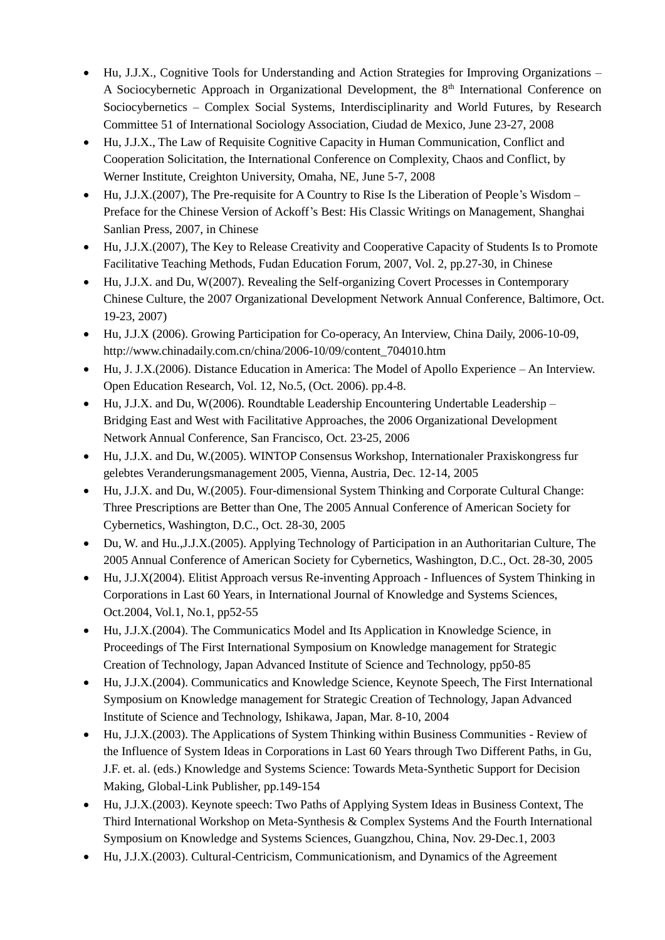- Hu, J.J.X., Cognitive Tools for Understanding and Action Strategies for Improving Organizations A Sociocybernetic Approach in Organizational Development, the 8<sup>th</sup> International Conference on Sociocybernetics – Complex Social Systems, Interdisciplinarity and World Futures, by Research Committee 51 of International Sociology Association, Ciudad de Mexico, June 23-27, 2008
- Hu, J.J.X., The Law of Requisite Cognitive Capacity in Human Communication, Conflict and Cooperation Solicitation, the International Conference on Complexity, Chaos and Conflict, by Werner Institute, Creighton University, Omaha, NE, June 5-7, 2008
- Hu,  $J.J.X.(2007)$ , The Pre-requisite for A Country to Rise Is the Liberation of People's Wisdom Preface for the Chinese Version of Ackoff's Best: His Classic Writings on Management, Shanghai Sanlian Press, 2007, in Chinese
- Hu, J.J.X.(2007), The Key to Release Creativity and Cooperative Capacity of Students Is to Promote Facilitative Teaching Methods, Fudan Education Forum, 2007, Vol. 2, pp.27-30, in Chinese
- Hu, J.J.X. and Du, W(2007). Revealing the Self-organizing Covert Processes in Contemporary Chinese Culture, the 2007 Organizational Development Network Annual Conference, Baltimore, Oct. 19-23, 2007)
- Hu, J.J.X (2006). Growing Participation for Co-operacy, An Interview, China Daily, 2006-10-09, http://www.chinadaily.com.cn/china/2006-10/09/content\_704010.htm
- Hu, J. J.X.(2006). Distance Education in America: The Model of Apollo Experience An Interview. Open Education Research, Vol. 12, No.5, (Oct. 2006). pp.4-8.
- Hu, J.J.X. and Du, W(2006). Roundtable Leadership Encountering Undertable Leadership Bridging East and West with Facilitative Approaches, the 2006 Organizational Development Network Annual Conference, San Francisco, Oct. 23-25, 2006
- Hu, J.J.X. and Du, W.(2005). WINTOP Consensus Workshop, Internationaler Praxiskongress fur gelebtes Veranderungsmanagement 2005, Vienna, Austria, Dec. 12-14, 2005
- Hu, J.J.X. and Du, W.(2005). Four-dimensional System Thinking and Corporate Cultural Change: Three Prescriptions are Better than One, The 2005 Annual Conference of American Society for Cybernetics, Washington, D.C., Oct. 28-30, 2005
- Du, W. and Hu.,J.J.X.(2005). Applying Technology of Participation in an Authoritarian Culture, The 2005 Annual Conference of American Society for Cybernetics, Washington, D.C., Oct. 28-30, 2005
- Hu, J.J.X(2004). Elitist Approach versus Re-inventing Approach Influences of System Thinking in Corporations in Last 60 Years, in International Journal of Knowledge and Systems Sciences, Oct.2004, Vol.1, No.1, pp52-55
- Hu, J.J.X.(2004). The Communicatics Model and Its Application in Knowledge Science, in Proceedings of The First International Symposium on Knowledge management for Strategic Creation of Technology, Japan Advanced Institute of Science and Technology, pp50-85
- Hu, J.J.X.(2004). Communicatics and Knowledge Science, Keynote Speech, The First International Symposium on Knowledge management for Strategic Creation of Technology, Japan Advanced Institute of Science and Technology, Ishikawa, Japan, Mar. 8-10, 2004
- Hu, J.J.X.(2003). The Applications of System Thinking within Business Communities Review of the Influence of System Ideas in Corporations in Last 60 Years through Two Different Paths, in Gu, J.F. et. al. (eds.) Knowledge and Systems Science: Towards Meta-Synthetic Support for Decision Making, Global-Link Publisher, pp.149-154
- Hu, J.J.X.(2003). Keynote speech: Two Paths of Applying System Ideas in Business Context, The Third International Workshop on Meta-Synthesis & Complex Systems And the Fourth International Symposium on Knowledge and Systems Sciences, Guangzhou, China, Nov. 29-Dec.1, 2003
- Hu, J.J.X.(2003). Cultural-Centricism, Communicationism, and Dynamics of the Agreement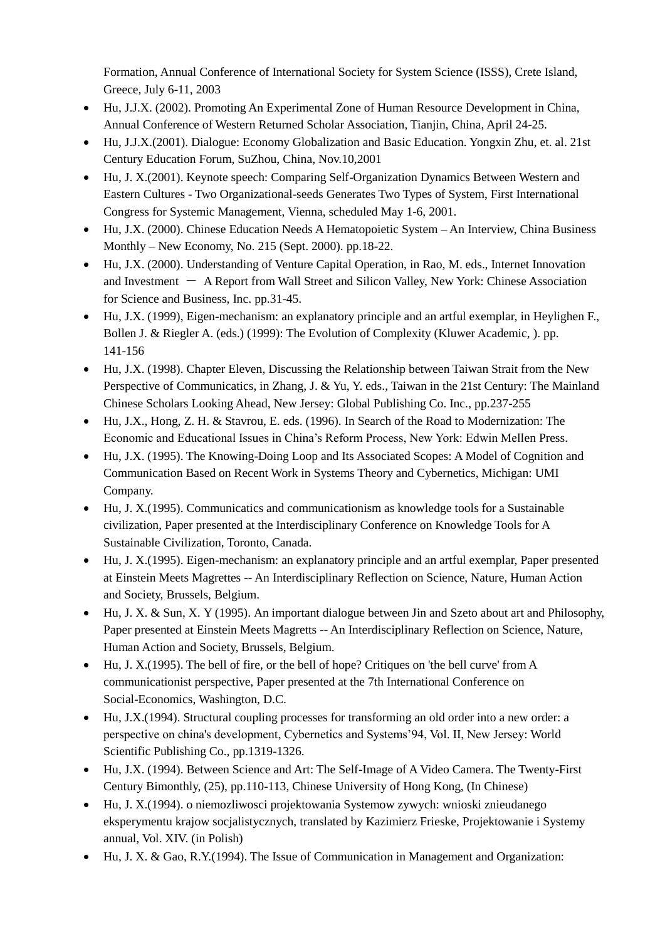Formation, Annual Conference of International Society for System Science (ISSS), Crete Island, Greece, July 6-11, 2003

- Hu, J.J.X. (2002). Promoting An Experimental Zone of Human Resource Development in China, Annual Conference of Western Returned Scholar Association, Tianjin, China, April 24-25.
- Hu, J.J.X.(2001). Dialogue: Economy Globalization and Basic Education. Yongxin Zhu, et. al. 21st Century Education Forum, SuZhou, China, Nov.10,2001
- Hu, J. X.(2001). Keynote speech: Comparing Self-Organization Dynamics Between Western and Eastern Cultures - Two Organizational-seeds Generates Two Types of System, First International Congress for Systemic Management, Vienna, scheduled May 1-6, 2001.
- Hu, J.X. (2000). Chinese Education Needs A Hematopoietic System An Interview, China Business Monthly – New Economy, No. 215 (Sept. 2000). pp.18-22.
- Hu, J.X. (2000). Understanding of Venture Capital Operation, in Rao, M. eds., Internet Innovation and Investment  $-$  A Report from Wall Street and Silicon Valley, New York: Chinese Association for Science and Business, Inc. pp.31-45.
- Hu, J.X. (1999), Eigen-mechanism: an explanatory principle and an artful exemplar, in Heylighen F., Bollen J. & Riegler A. (eds.) (1999): The Evolution of Complexity (Kluwer Academic, ). pp. 141-156
- Hu, J.X. (1998). Chapter Eleven, Discussing the Relationship between Taiwan Strait from the New Perspective of Communicatics, in Zhang, J. & Yu, Y. eds., Taiwan in the 21st Century: The Mainland Chinese Scholars Looking Ahead, New Jersey: Global Publishing Co. Inc., pp.237-255
- Hu, J.X., Hong, Z. H. & Stavrou, E. eds. (1996). In Search of the Road to Modernization: The Economic and Educational Issues in China's Reform Process, New York: Edwin Mellen Press.
- Hu, J.X. (1995). The Knowing-Doing Loop and Its Associated Scopes: A Model of Cognition and Communication Based on Recent Work in Systems Theory and Cybernetics, Michigan: UMI Company.
- Hu, J. X.(1995). Communicatics and communicationism as knowledge tools for a Sustainable civilization, Paper presented at the Interdisciplinary Conference on Knowledge Tools for A Sustainable Civilization, Toronto, Canada.
- Hu, J. X.(1995). Eigen-mechanism: an explanatory principle and an artful exemplar, Paper presented at Einstein Meets Magrettes -- An Interdisciplinary Reflection on Science, Nature, Human Action and Society, Brussels, Belgium.
- Hu, J. X. & Sun, X. Y (1995). An important dialogue between Jin and Szeto about art and Philosophy, Paper presented at Einstein Meets Magretts -- An Interdisciplinary Reflection on Science, Nature, Human Action and Society, Brussels, Belgium.
- Hu, J. X.(1995). The bell of fire, or the bell of hope? Critiques on 'the bell curve' from A communicationist perspective, Paper presented at the 7th International Conference on Social-Economics, Washington, D.C.
- Hu, J.X.(1994). Structural coupling processes for transforming an old order into a new order: a perspective on china's development, Cybernetics and Systems'94, Vol. II, New Jersey: World Scientific Publishing Co., pp.1319-1326.
- Hu, J.X. (1994). Between Science and Art: The Self-Image of A Video Camera. The Twenty-First Century Bimonthly, (25), pp.110-113, Chinese University of Hong Kong, (In Chinese)
- Hu, J. X.(1994). o niemozliwosci projektowania Systemow zywych: wnioski znieudanego eksperymentu krajow socjalistycznych, translated by Kazimierz Frieske, Projektowanie i Systemy annual, Vol. XIV. (in Polish)
- Hu, J. X. & Gao, R.Y.(1994). The Issue of Communication in Management and Organization: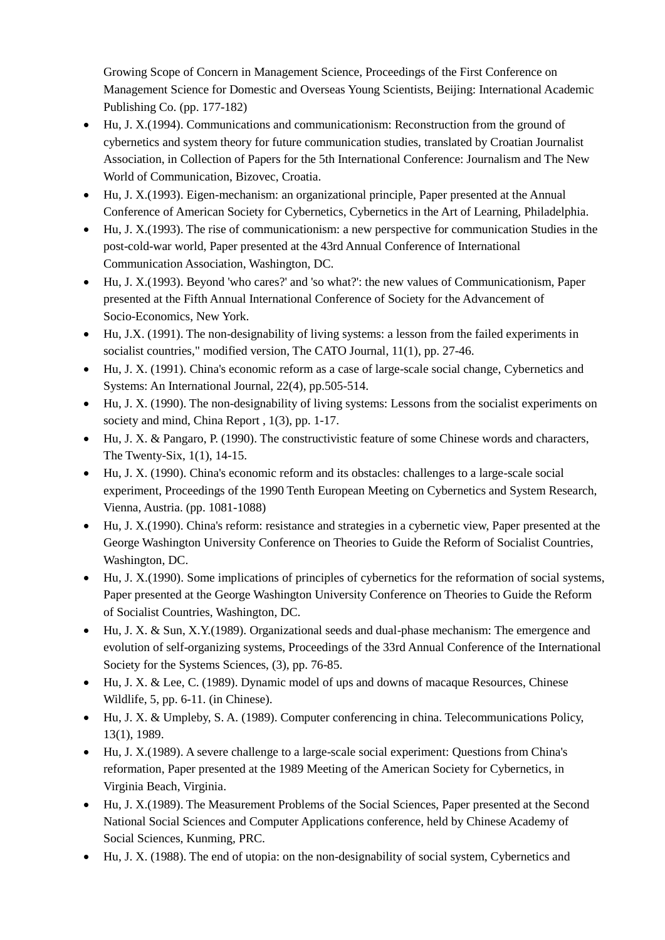Growing Scope of Concern in Management Science, Proceedings of the First Conference on Management Science for Domestic and Overseas Young Scientists, Beijing: International Academic Publishing Co. (pp. 177-182)

- Hu, J. X.(1994). Communications and communicationism: Reconstruction from the ground of cybernetics and system theory for future communication studies, translated by Croatian Journalist Association, in Collection of Papers for the 5th International Conference: Journalism and The New World of Communication, Bizovec, Croatia.
- Hu, J. X.(1993). Eigen-mechanism: an organizational principle, Paper presented at the Annual Conference of American Society for Cybernetics, Cybernetics in the Art of Learning, Philadelphia.
- Hu, J. X.(1993). The rise of communicationism: a new perspective for communication Studies in the post-cold-war world, Paper presented at the 43rd Annual Conference of International Communication Association, Washington, DC.
- Hu, J. X.(1993). Beyond 'who cares?' and 'so what?': the new values of Communicationism, Paper presented at the Fifth Annual International Conference of Society for the Advancement of Socio-Economics, New York.
- Hu, J.X. (1991). The non-designability of living systems: a lesson from the failed experiments in socialist countries," modified version, The CATO Journal, 11(1), pp. 27-46.
- Hu, J. X. (1991). China's economic reform as a case of large-scale social change, Cybernetics and Systems: An International Journal, 22(4), pp.505-514.
- Hu, J. X. (1990). The non-designability of living systems: Lessons from the socialist experiments on society and mind, China Report, 1(3), pp. 1-17.
- Hu, J. X. & Pangaro, P. (1990). The constructivistic feature of some Chinese words and characters, The Twenty-Six, 1(1), 14-15.
- Hu, J. X. (1990). China's economic reform and its obstacles: challenges to a large-scale social experiment, Proceedings of the 1990 Tenth European Meeting on Cybernetics and System Research, Vienna, Austria. (pp. 1081-1088)
- Hu, J. X.(1990). China's reform: resistance and strategies in a cybernetic view, Paper presented at the George Washington University Conference on Theories to Guide the Reform of Socialist Countries, Washington, DC.
- Hu, J. X.(1990). Some implications of principles of cybernetics for the reformation of social systems, Paper presented at the George Washington University Conference on Theories to Guide the Reform of Socialist Countries, Washington, DC.
- Hu, J. X. & Sun, X.Y.(1989). Organizational seeds and dual-phase mechanism: The emergence and evolution of self-organizing systems, Proceedings of the 33rd Annual Conference of the International Society for the Systems Sciences, (3), pp. 76-85.
- Hu, J. X. & Lee, C. (1989). Dynamic model of ups and downs of macaque Resources, Chinese Wildlife, 5, pp. 6-11. (in Chinese).
- Hu, J. X. & Umpleby, S. A. (1989). Computer conferencing in china. Telecommunications Policy, 13(1), 1989.
- Hu, J. X.(1989). A severe challenge to a large-scale social experiment: Questions from China's reformation, Paper presented at the 1989 Meeting of the American Society for Cybernetics, in Virginia Beach, Virginia.
- Hu, J. X.(1989). The Measurement Problems of the Social Sciences, Paper presented at the Second National Social Sciences and Computer Applications conference, held by Chinese Academy of Social Sciences, Kunming, PRC.
- Hu, J. X. (1988). The end of utopia: on the non-designability of social system, Cybernetics and